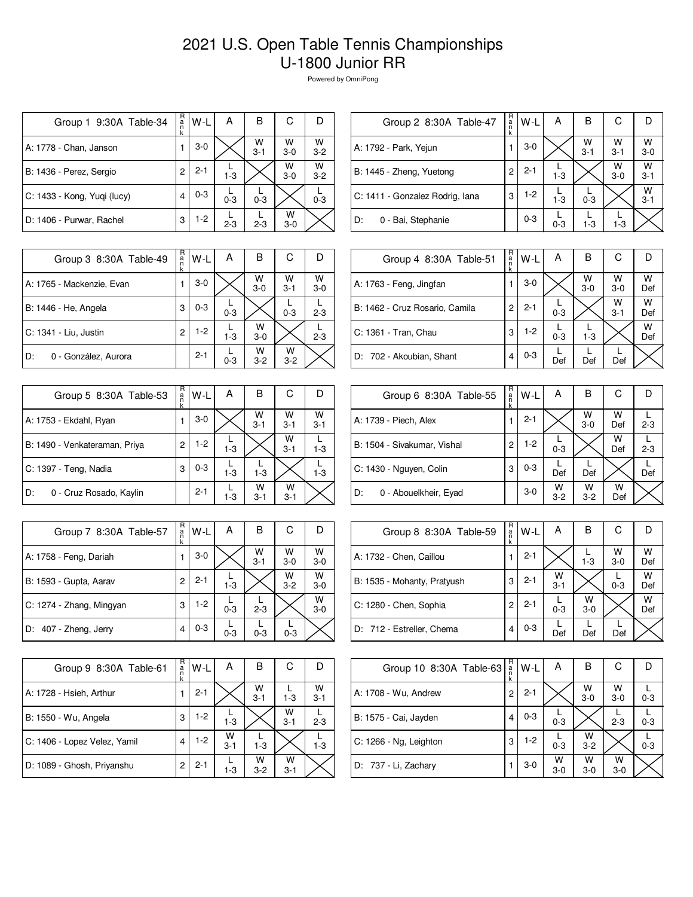## 2021 U.S. Open Table Tennis Championships U-1800 Junior RR

Powered by OmniPong

| Group 1 9:30A Table-34      | R<br>a<br>n<br>k | W-L     | А       | в            | С          |              |
|-----------------------------|------------------|---------|---------|--------------|------------|--------------|
| A: 1778 - Chan, Janson      |                  | $3-0$   |         | W<br>$3 - 1$ | W<br>$3-0$ | W<br>$3 - 2$ |
| B: 1436 - Perez, Sergio     | 2                | $2 - 1$ | $1 - 3$ |              | W<br>$3-0$ | W<br>$3-2$   |
| C: 1433 - Kong, Yuqi (lucy) | 4                | $0 - 3$ | $0 - 3$ | $0 - 3$      |            | $0 - 3$      |
| D: 1406 - Purwar, Rachel    | 3                | $1-2$   | $2 - 3$ | $2 - 3$      | w<br>$3-0$ |              |

| R<br>a<br>n<br>k | W-L     | Α       | в            | С            |              |
|------------------|---------|---------|--------------|--------------|--------------|
|                  | $3-0$   |         | W<br>$3 - 1$ | W<br>$3 - 1$ | W<br>$3-0$   |
| 2                | $2 - 1$ | $1 - 3$ |              | W<br>$3-0$   | W<br>$3 - 1$ |
| 3                | $1-2$   | $1 - 3$ | $0 - 3$      |              | W<br>$3 - 1$ |
|                  | $0 - 3$ | $0 - 3$ | $1 - 3$      | $1-3$        |              |
|                  |         |         |              |              |              |

| Group 3 8:30A Table-49     | R<br>a<br>k | W-L     | А       | в            | С            |            |
|----------------------------|-------------|---------|---------|--------------|--------------|------------|
| A: 1765 - Mackenzie, Evan  |             | $3-0$   |         | W<br>$3-0$   | W<br>$3 - 1$ | W<br>$3-0$ |
| B: 1446 - He, Angela       | 3           | $0 - 3$ | $0 - 3$ |              | $0 - 3$      | $2 - 3$    |
| C: 1341 - Liu, Justin      | 2           | $1 - 2$ | $1 - 3$ | W<br>$3 - 0$ |              | $2 - 3$    |
| D:<br>0 - González, Aurora |             | $2 - 1$ | $0 - 3$ | w<br>$3-2$   | W<br>$3-2$   |            |

| Group 5 8:30A Table-53        | R<br>a<br>k    | W-L     | А       | B            | С            |              |
|-------------------------------|----------------|---------|---------|--------------|--------------|--------------|
| A: 1753 - Ekdahl, Ryan        |                | $3-0$   |         | W<br>$3 - 1$ | W<br>$3 - 1$ | W<br>$3 - 1$ |
| B: 1490 - Venkateraman, Priya | $\overline{c}$ | $1-2$   | $1 - 3$ |              | W<br>$3 - 1$ | $1 - 3$      |
| C: 1397 - Teng, Nadia         | 3              | $0 - 3$ | $1 - 3$ | $1 - 3$      |              | $1 - 3$      |
| D:<br>0 - Cruz Rosado, Kaylin |                | $2 - 1$ | $1 - 3$ | W<br>$3 - 1$ | W<br>$3 - 1$ |              |

| Group 7 8:30A Table-57   | R<br>a<br>k | W-L     | А       | В            | С            |              |
|--------------------------|-------------|---------|---------|--------------|--------------|--------------|
| A: 1758 - Feng, Dariah   |             | $3-0$   |         | W<br>$3 - 1$ | W<br>$3-0$   | W<br>$3-0$   |
| B: 1593 - Gupta, Aarav   | 2           | $2 - 1$ | $1 - 3$ |              | W<br>$3 - 2$ | W<br>$3 - 0$ |
| C: 1274 - Zhang, Mingyan | 3           | $1-2$   | $0 - 3$ | $2 - 3$      |              | W<br>$3 - 0$ |
| D: 407 - Zheng, Jerry    | 4           | $0 - 3$ | $0 - 3$ | $0 - 3$      | $0 - 3$      |              |

| Group 9 8:30A Table-61       | R<br>a<br>n<br>k | W-L     | А            | в            | С            |              |
|------------------------------|------------------|---------|--------------|--------------|--------------|--------------|
| A: 1728 - Hsieh, Arthur      |                  | $2 - 1$ |              | W<br>$3 - 1$ | $1 - 3$      | W<br>$3 - 1$ |
| B: 1550 - Wu, Angela         | 3                | $1-2$   | $1 - 3$      |              | W<br>$3 - 1$ | $2 - 3$      |
| C: 1406 - Lopez Velez, Yamil | 4                | $1-2$   | W<br>$3 - 1$ | $1 - 3$      |              | $1-3$        |
| D: 1089 - Ghosh, Priyanshu   | 2                | $2 - 1$ | $1-3$        | W<br>$3-2$   | w<br>$3 - 1$ |              |

| Group 4 8:30A Table-51         | R<br>a<br>k | $W-L$   | А       | B          | С            |          |
|--------------------------------|-------------|---------|---------|------------|--------------|----------|
| A: 1763 - Feng, Jingfan        |             | $3-0$   |         | W<br>$3-0$ | W<br>$3-0$   | w<br>Def |
| B: 1462 - Cruz Rosario, Camila | 2           | $2 - 1$ | $0 - 3$ |            | W<br>$3 - 1$ | w<br>Def |
| C: 1361 - Tran, Chau           | 3           | $1-2$   | $0 - 3$ | $1 - 3$    |              | W<br>Def |
| D: 702 - Akoubian, Shant       | 4           | $0 - 3$ | Def     | Def        | Def          |          |

| Group 6 8:30A Table-55      | R<br>$\frac{a}{n}$ | W-L     | A            | в          | С        |         |
|-----------------------------|--------------------|---------|--------------|------------|----------|---------|
| A: 1739 - Piech, Alex       |                    | $2 - 1$ |              | W<br>$3-0$ | W<br>Def | $2 - 3$ |
| B: 1504 - Sivakumar, Vishal | 2                  | $1-2$   | $0 - 3$      |            | W<br>Def | $2 - 3$ |
| C: 1430 - Nguyen, Colin     | 3                  | $0 - 3$ | Def          | Def        |          | Def     |
| D:<br>0 - Abouelkheir, Eyad |                    | $3-0$   | W<br>$3 - 2$ | w<br>$3-2$ | w<br>Def |         |

| Group 8 8:30A Table-59      | R<br>$\frac{a}{n}$ | W-L     | Α            | В            | С            |          |
|-----------------------------|--------------------|---------|--------------|--------------|--------------|----------|
| A: 1732 - Chen, Caillou     |                    | $2 - 1$ |              | $1 - 3$      | W<br>$3 - 0$ | W<br>Def |
| B: 1535 - Mohanty, Pratyush | 3                  | $2 - 1$ | W<br>$3 - 1$ |              | $0 - 3$      | W<br>Def |
| C: 1280 - Chen, Sophia      | 2                  | $2 - 1$ | $0 - 3$      | W<br>$3 - 0$ |              | W<br>Def |
| D: 712 - Estreller, Chema   | 4                  | $0 - 3$ | Def          | Def          | Def          |          |

| Group 10 8:30A Table-63 | R<br>$\frac{a}{n}$ | W-L     | A          | в                  | С            |         |
|-------------------------|--------------------|---------|------------|--------------------|--------------|---------|
| A: 1708 - Wu, Andrew    | 2                  | $2 - 1$ |            | $W$<br>3-0         | W<br>$3 - 0$ | $0 - 3$ |
| B: 1575 - Cai, Jayden   | 4                  | $0 - 3$ | $0 - 3$    |                    | $2 - 3$      | $0 - 3$ |
| C: 1266 - Ng, Leighton  | 3                  | $1-2$   | $0 - 3$    | $W$ <sub>3-2</sub> |              | $0 - 3$ |
| D: 737 - Li, Zachary    |                    | $3-0$   | W<br>$3-0$ | w<br>$3-0$         | W<br>$3-0$   |         |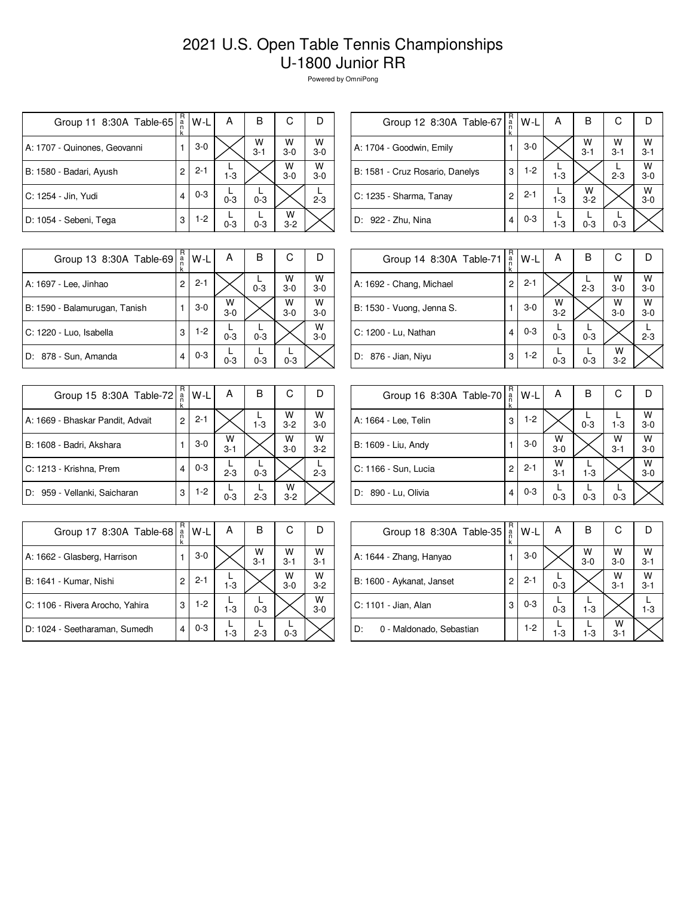## 2021 U.S. Open Table Tennis Championships U-1800 Junior RR

Powered by OmniPong

| Group 11 8:30A Table-65      | R<br>a<br>n<br>k | W-L     | А       | в            | С          |              |
|------------------------------|------------------|---------|---------|--------------|------------|--------------|
| A: 1707 - Quinones, Geovanni |                  | $3-0$   |         | W<br>$3 - 1$ | W<br>$3-0$ | W<br>$3 - 0$ |
| B: 1580 - Badari, Ayush      | 2                | $2 - 1$ | $1 - 3$ |              | W<br>$3-0$ | W<br>$3 - 0$ |
| C: 1254 - Jin, Yudi          |                  | $0 - 3$ | $0 - 3$ | $0 - 3$      |            | $2 - 3$      |
| D: 1054 - Sebeni, Tega       | 3                | $1-2$   | $0 - 3$ | $0 - 3$      | w<br>$3-2$ |              |

| R<br>a<br>n<br>k | W-L                     | А       | в            | С            |              |
|------------------|-------------------------|---------|--------------|--------------|--------------|
|                  | $3-0$                   |         | W<br>$3 - 1$ | W<br>$3 - 1$ | W<br>$3 - 1$ |
| 3                | $1-2$                   | $1 - 3$ |              | $2 - 3$      | W<br>$3-0$   |
| 2                | $2 - 1$                 | $1 - 3$ | w<br>$3-2$   |              | W<br>$3-0$   |
|                  | $0 - 3$                 | $1 - 3$ | $0 - 3$      | $0 - 3$      |              |
|                  | Group 12 8:30A Table-67 |         |              |              |              |

| Group 13 8:30A Table-69       | R<br>a<br>n<br>k | $W-L$   | A          | в       | С          |              |
|-------------------------------|------------------|---------|------------|---------|------------|--------------|
| A: 1697 - Lee, Jinhao         | 2                | $2 - 1$ |            | $0 - 3$ | W<br>$3-0$ | W<br>$3-0$   |
| B: 1590 - Balamurugan, Tanish |                  | $3-0$   | W<br>$3-0$ |         | W<br>$3-0$ | W<br>$3 - 0$ |
| C: 1220 - Luo, Isabella       | 3                | $1-2$   | $0 - 3$    | $0 - 3$ |            | W<br>$3 - 0$ |
| D: 878 - Sun, Amanda          | 4                | $0 - 3$ | $0 - 3$    | $0 - 3$ | $0 - 3$    |              |

| Group 15 8:30A Table-72          | R<br>a<br>k | W-L     | Α            | В       | С            |            |
|----------------------------------|-------------|---------|--------------|---------|--------------|------------|
| A: 1669 - Bhaskar Pandit, Advait | 2           | $2 - 1$ |              | $1 - 3$ | W<br>$3 - 2$ | W<br>$3-0$ |
| B: 1608 - Badri, Akshara         |             | 3-0     | W<br>$3 - 1$ |         | W<br>$3-0$   | W<br>$3-2$ |
| C: 1213 - Krishna, Prem          |             | $0 - 3$ | $2 - 3$      | $0 - 3$ |              | $2 - 3$    |
| D: 959 - Vellanki, Saicharan     | 3           | $1-2$   | $0 - 3$      | $2 - 3$ | w<br>$3-2$   |            |

| Group 17 8:30A Table-68         | R<br>a<br>k | W-L     | A       | в            | С            |              |
|---------------------------------|-------------|---------|---------|--------------|--------------|--------------|
| A: 1662 - Glasberg, Harrison    |             | $3-0$   |         | W<br>$3 - 1$ | W<br>$3 - 1$ | w<br>$3 - 1$ |
| B: 1641 - Kumar, Nishi          |             | $2 - 1$ | $1 - 3$ |              | w<br>$3-0$   | w<br>$3 - 2$ |
| C: 1106 - Rivera Arocho, Yahira | 3           | $1-2$   | $1 - 3$ | $0 - 3$      |              | w<br>$3 - 0$ |
| D: 1024 - Seetharaman, Sumedh   | 4           | $0 - 3$ | $1 - 3$ | $2 - 3$      | $0 - 3$      |              |

| Group 14 8:30A Table-71   | $R_{a}$<br>k   | W-L     | A                  | B       | C            |              |
|---------------------------|----------------|---------|--------------------|---------|--------------|--------------|
| A: 1692 - Chang, Michael  | $\overline{2}$ | $2 - 1$ |                    | $2 - 3$ | w<br>$3-0$   | W<br>$3-0$   |
| B: 1530 - Vuong, Jenna S. |                | $3-0$   | $W$ <sub>3-2</sub> |         | W<br>$3-0$   | W<br>$3 - 0$ |
| C: 1200 - Lu, Nathan      | 4              | $0 - 3$ | $0 - 3$            | $0 - 3$ |              | $2 - 3$      |
| D: 876 - Jian, Niyu       | 3              | $1-2$   | $0 - 3$            | $0 - 3$ | W<br>$3 - 2$ |              |

| Group 16 8:30A Table-70 | R<br>$\frac{a}{n}$<br>k | W-L     | А            | В       | С            |              |
|-------------------------|-------------------------|---------|--------------|---------|--------------|--------------|
| A: 1664 - Lee, Telin    | 3                       | $1-2$   |              | $0 - 3$ | $1 - 3$      | W<br>$3-0$   |
| B: 1609 - Liu, Andy     |                         | $3-0$   | W<br>$3-0$   |         | W<br>$3 - 1$ | W<br>$3 - 0$ |
| C: 1166 - Sun, Lucia    | 2                       | $2 - 1$ | W<br>$3 - 1$ | $1 - 3$ |              | W<br>$3-0$   |
| 890 - Lu, Olivia<br>ID: | 4                       | $0 - 3$ | $0 - 3$      | $0 - 3$ | $0 - 3$      |              |

| Group 18 8:30A Table-35        | R<br>ă<br>k | W-L     | Α       | в          | С            |              |
|--------------------------------|-------------|---------|---------|------------|--------------|--------------|
| A: 1644 - Zhang, Hanyao        |             | $3-0$   |         | W<br>$3-0$ | W<br>$3-0$   | W<br>$3 - 1$ |
| B: 1600 - Aykanat, Janset      | 2           | $2 - 1$ | $0 - 3$ |            | W<br>$3 - 1$ | W<br>$3 - 1$ |
| C: 1101 - Jian, Alan           | 3           | $0 - 3$ | $0 - 3$ | $1 - 3$    |              | $1 - 3$      |
| D:<br>0 - Maldonado, Sebastian |             | 1-2     | $1 - 3$ | $1 - 3$    | w<br>$3 - 1$ |              |